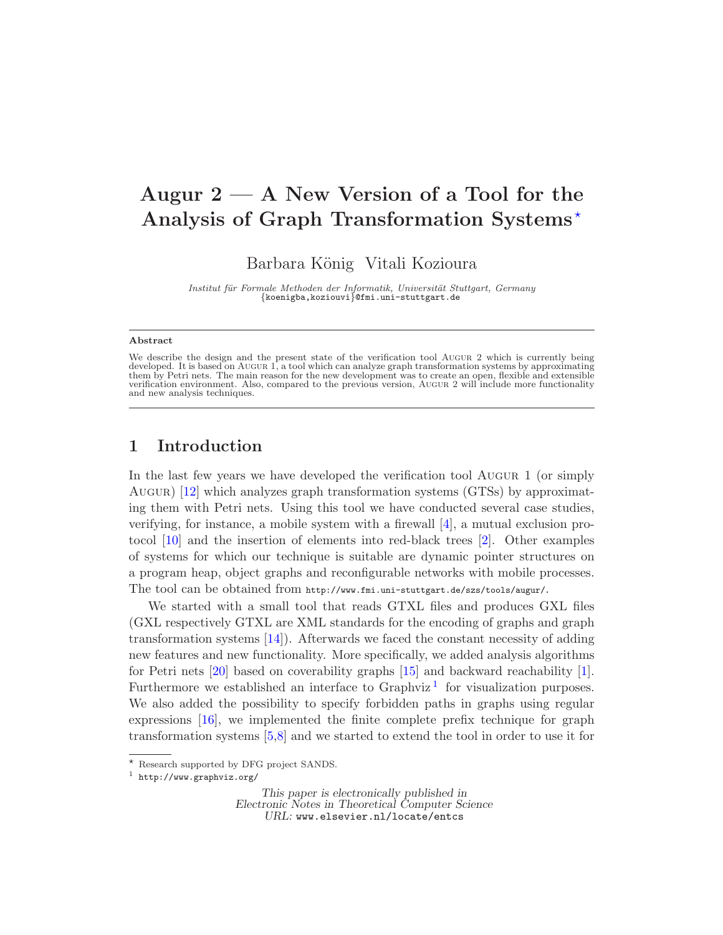# Augur  $2 - A$  New Version of a Tool for the Analysis of Graph Transformation Systems\*

Barbara König Vitali Kozioura

Institut für Formale Methoden der Informatik, Universität Stuttgart, Germany<br>{koenigba,koziouvi}@fmi.uni-stuttgart.de

#### Abstract

#### 1 Introduction

In the last few years we have developed the verification tool Augur 1 (or simply Augur) [\[12\]](#page-8-0) which analyzes graph transformation systems (GTSs) by approximating them with Petri nets. Using this tool we have conducted several case studies, verifying, for instance, a mobile system with a firewall [\[4\]](#page-7-0), a mutual exclusion protocol [\[10\]](#page-8-1) and the insertion of elements into red-black trees [\[2\]](#page-7-1). Other examples of systems for which our technique is suitable are dynamic pointer structures on a program heap, object graphs and reconfigurable networks with mobile processes. The tool can be obtained from http://www.fmi.uni-stuttgart.de/szs/tools/augur/.

We started with a small tool that reads GTXL files and produces GXL files (GXL respectively GTXL are XML standards for the encoding of graphs and graph transformation systems [\[14\]](#page-8-2)). Afterwards we faced the constant necessity of adding new features and new functionality. More specifically, we added analysis algorithms for Petri nets [\[20\]](#page-8-3) based on coverability graphs [\[15\]](#page-8-4) and backward reachability [\[1\]](#page-7-2). Furthermore we established an interface to  $Graphviz<sup>1</sup>$  $Graphviz<sup>1</sup>$  $Graphviz<sup>1</sup>$  for visualization purposes. We also added the possibility to specify forbidden paths in graphs using regular expressions [\[16\]](#page-8-5), we implemented the finite complete prefix technique for graph transformation systems [\[5,](#page-7-3)[8\]](#page-8-6) and we started to extend the tool in order to use it for

We describe the design and the present state of the verification tool Augur 2 which is currently being developed. It is based on AUGUR 1, a tool which can analyze graph transformation systems by approximating them by Petri nets. The main reason for the new development was to create an open, flexible and extensible verification environment. Also, compared to the previous version, Augur 2 will include more functionality and new analysis techniques.

<sup>⋆</sup> Research supported by DFG project SANDS.

<span id="page-0-1"></span><sup>1</sup> http://www.graphviz.org/

<span id="page-0-0"></span>This paper is electronically published in Electronic Notes in Theoretical Computer Science URL: www.elsevier.nl/locate/entcs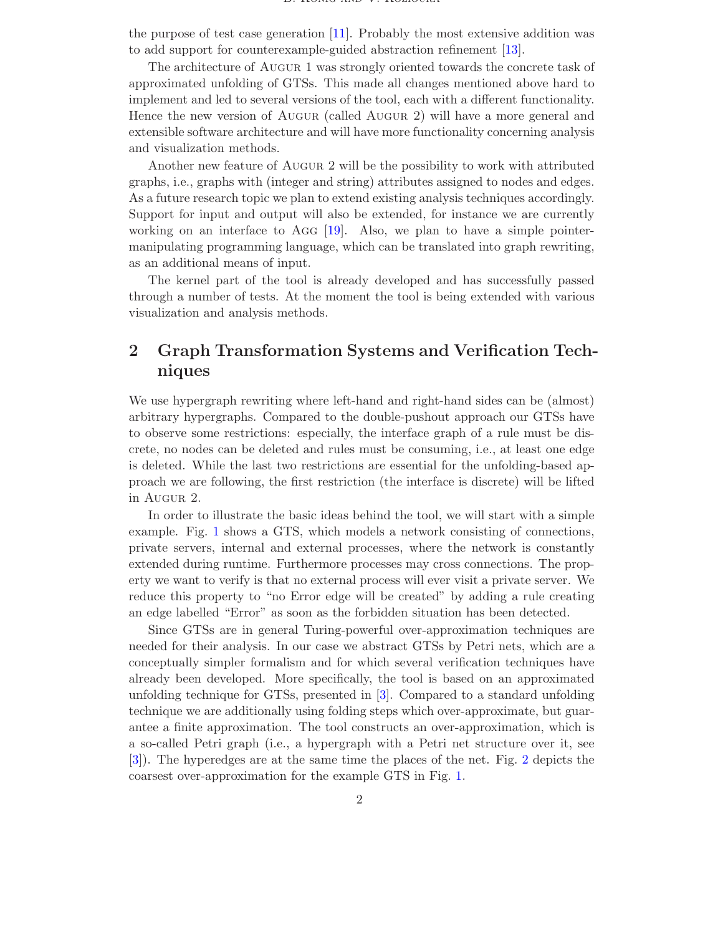the purpose of test case generation [\[11\]](#page-8-7). Probably the most extensive addition was to add support for counterexample-guided abstraction refinement [\[13\]](#page-8-8).

The architecture of Augur 1 was strongly oriented towards the concrete task of approximated unfolding of GTSs. This made all changes mentioned above hard to implement and led to several versions of the tool, each with a different functionality. Hence the new version of Augur (called Augur 2) will have a more general and extensible software architecture and will have more functionality concerning analysis and visualization methods.

Another new feature of Augur 2 will be the possibility to work with attributed graphs, i.e., graphs with (integer and string) attributes assigned to nodes and edges. As a future research topic we plan to extend existing analysis techniques accordingly. Support for input and output will also be extended, for instance we are currently working on an interface to Agg  $[19]$ . Also, we plan to have a simple pointermanipulating programming language, which can be translated into graph rewriting, as an additional means of input.

The kernel part of the tool is already developed and has successfully passed through a number of tests. At the moment the tool is being extended with various visualization and analysis methods.

## 2 Graph Transformation Systems and Verification Techniques

We use hypergraph rewriting where left-hand and right-hand sides can be (almost) arbitrary hypergraphs. Compared to the double-pushout approach our GTSs have to observe some restrictions: especially, the interface graph of a rule must be discrete, no nodes can be deleted and rules must be consuming, i.e., at least one edge is deleted. While the last two restrictions are essential for the unfolding-based approach we are following, the first restriction (the interface is discrete) will be lifted in Augur 2.

In order to illustrate the basic ideas behind the tool, we will start with a simple example. Fig. [1](#page-2-0) shows a GTS, which models a network consisting of connections, private servers, internal and external processes, where the network is constantly extended during runtime. Furthermore processes may cross connections. The property we want to verify is that no external process will ever visit a private server. We reduce this property to "no Error edge will be created" by adding a rule creating an edge labelled "Error" as soon as the forbidden situation has been detected.

Since GTSs are in general Turing-powerful over-approximation techniques are needed for their analysis. In our case we abstract GTSs by Petri nets, which are a conceptually simpler formalism and for which several verification techniques have already been developed. More specifically, the tool is based on an approximated unfolding technique for GTSs, presented in [\[3\]](#page-7-4). Compared to a standard unfolding technique we are additionally using folding steps which over-approximate, but guarantee a finite approximation. The tool constructs an over-approximation, which is a so-called Petri graph (i.e., a hypergraph with a Petri net structure over it, see [\[3\]](#page-7-4)). The hyperedges are at the same time the places of the net. Fig. [2](#page-2-1) depicts the coarsest over-approximation for the example GTS in Fig. [1.](#page-2-0)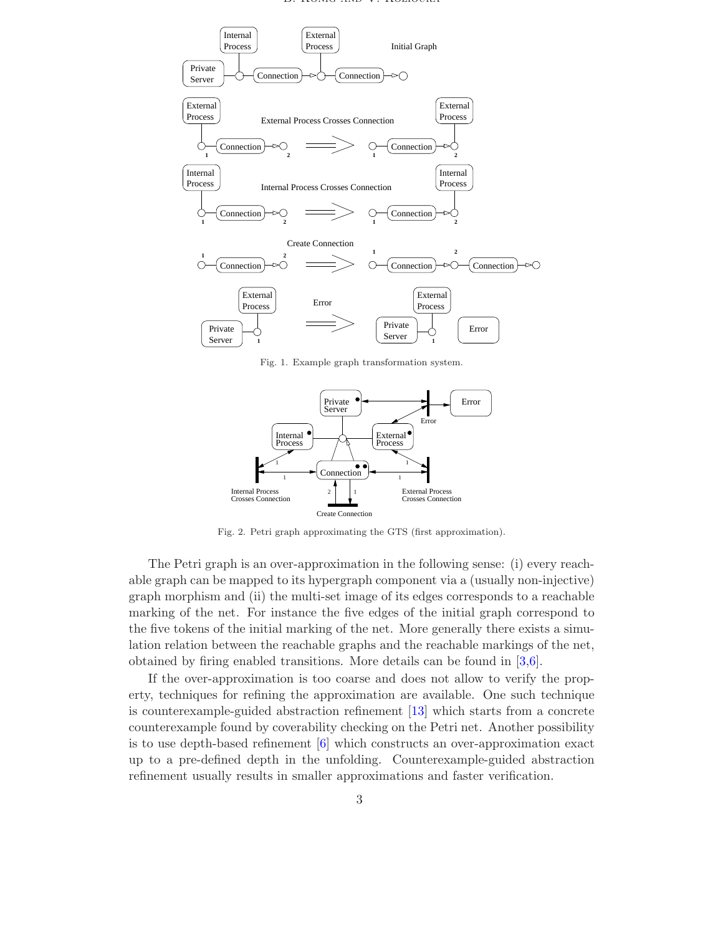

Fig. 1. Example graph transformation system.

<span id="page-2-0"></span>

Fig. 2. Petri graph approximating the GTS (first approximation).

<span id="page-2-1"></span>The Petri graph is an over-approximation in the following sense: (i) every reachable graph can be mapped to its hypergraph component via a (usually non-injective) graph morphism and (ii) the multi-set image of its edges corresponds to a reachable marking of the net. For instance the five edges of the initial graph correspond to the five tokens of the initial marking of the net. More generally there exists a simulation relation between the reachable graphs and the reachable markings of the net, obtained by firing enabled transitions. More details can be found in [\[3](#page-7-4)[,6\]](#page-8-10).

If the over-approximation is too coarse and does not allow to verify the property, techniques for refining the approximation are available. One such technique is counterexample-guided abstraction refinement [\[13\]](#page-8-8) which starts from a concrete counterexample found by coverability checking on the Petri net. Another possibility is to use depth-based refinement [\[6\]](#page-8-10) which constructs an over-approximation exact up to a pre-defined depth in the unfolding. Counterexample-guided abstraction refinement usually results in smaller approximations and faster verification.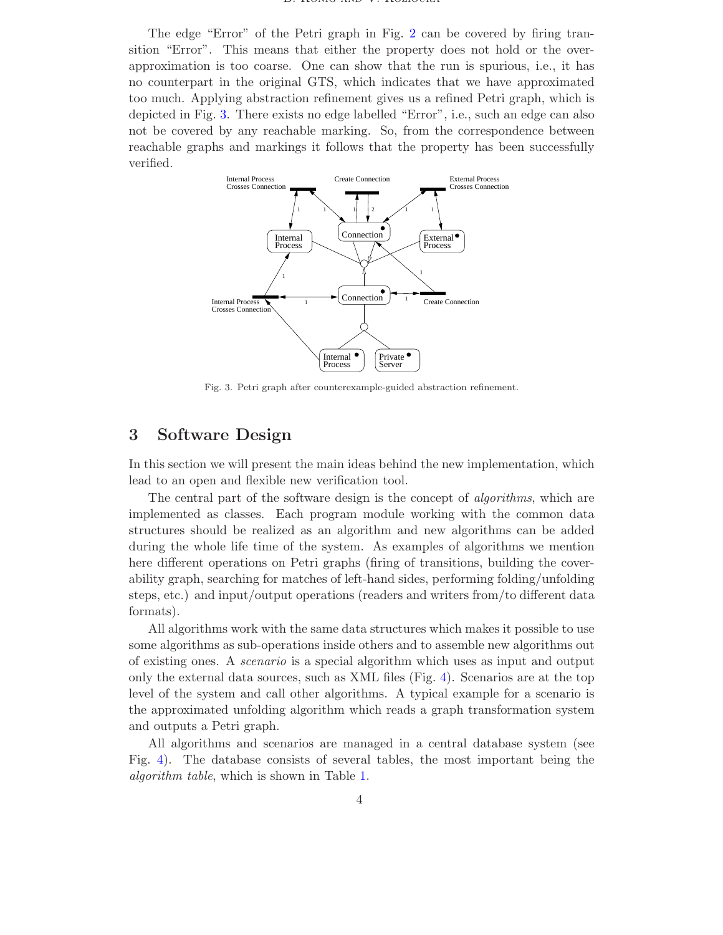#### $B$ . Konig and  $V$ . Koziovita

The edge "Error" of the Petri graph in Fig. [2](#page-2-1) can be covered by firing transition "Error". This means that either the property does not hold or the overapproximation is too coarse. One can show that the run is spurious, i.e., it has no counterpart in the original GTS, which indicates that we have approximated too much. Applying abstraction refinement gives us a refined Petri graph, which is depicted in Fig. [3.](#page-3-0) There exists no edge labelled "Error", i.e., such an edge can also not be covered by any reachable marking. So, from the correspondence between reachable graphs and markings it follows that the property has been successfully verified.



Fig. 3. Petri graph after counterexample-guided abstraction refinement.

### <span id="page-3-0"></span>3 Software Design

In this section we will present the main ideas behind the new implementation, which lead to an open and flexible new verification tool.

The central part of the software design is the concept of algorithms, which are implemented as classes. Each program module working with the common data structures should be realized as an algorithm and new algorithms can be added during the whole life time of the system. As examples of algorithms we mention here different operations on Petri graphs (firing of transitions, building the coverability graph, searching for matches of left-hand sides, performing folding/unfolding steps, etc.) and input/output operations (readers and writers from/to different data formats).

All algorithms work with the same data structures which makes it possible to use some algorithms as sub-operations inside others and to assemble new algorithms out of existing ones. A scenario is a special algorithm which uses as input and output only the external data sources, such as XML files (Fig. [4\)](#page-4-0). Scenarios are at the top level of the system and call other algorithms. A typical example for a scenario is the approximated unfolding algorithm which reads a graph transformation system and outputs a Petri graph.

All algorithms and scenarios are managed in a central database system (see Fig. [4\)](#page-4-0). The database consists of several tables, the most important being the algorithm table, which is shown in Table [1.](#page-4-1)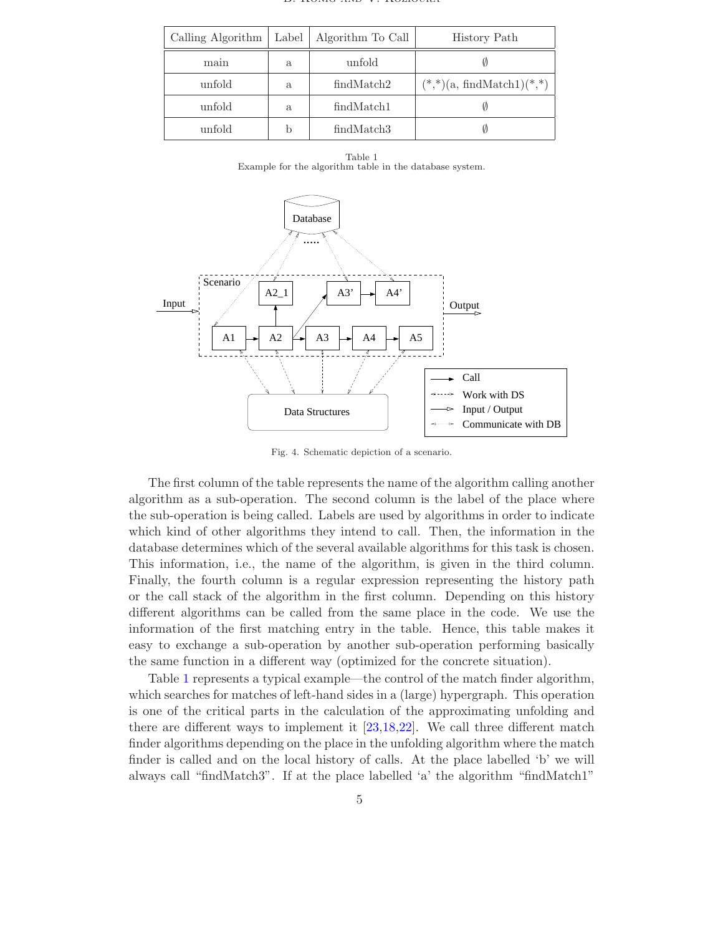|  |  | D. IVONIU AND V. IVOZIUCIVA |
|--|--|-----------------------------|

| Calling Algorithm | Label | Algorithm To Call      | History Path                    |
|-------------------|-------|------------------------|---------------------------------|
| main              | a     | unfold                 |                                 |
| unfold            | a.    | findMatch2             | $(*,*)$ (a, findMatch1) $(*,*)$ |
| unfold            | a.    | findMatch1             |                                 |
| unfold            |       | findMatch <sub>3</sub> |                                 |

Table 1 Example for the algorithm table in the database system.

<span id="page-4-1"></span>

<span id="page-4-0"></span>Fig. 4. Schematic depiction of a scenario.

The first column of the table represents the name of the algorithm calling another algorithm as a sub-operation. The second column is the label of the place where the sub-operation is being called. Labels are used by algorithms in order to indicate which kind of other algorithms they intend to call. Then, the information in the database determines which of the several available algorithms for this task is chosen. This information, i.e., the name of the algorithm, is given in the third column. Finally, the fourth column is a regular expression representing the history path or the call stack of the algorithm in the first column. Depending on this history different algorithms can be called from the same place in the code. We use the information of the first matching entry in the table. Hence, this table makes it easy to exchange a sub-operation by another sub-operation performing basically the same function in a different way (optimized for the concrete situation).

Table [1](#page-4-1) represents a typical example—the control of the match finder algorithm, which searches for matches of left-hand sides in a (large) hypergraph. This operation is one of the critical parts in the calculation of the approximating unfolding and there are different ways to implement it [\[23](#page-8-11)[,18](#page-8-12)[,22\]](#page-8-13). We call three different match finder algorithms depending on the place in the unfolding algorithm where the match finder is called and on the local history of calls. At the place labelled 'b' we will always call "findMatch3". If at the place labelled 'a' the algorithm "findMatch1"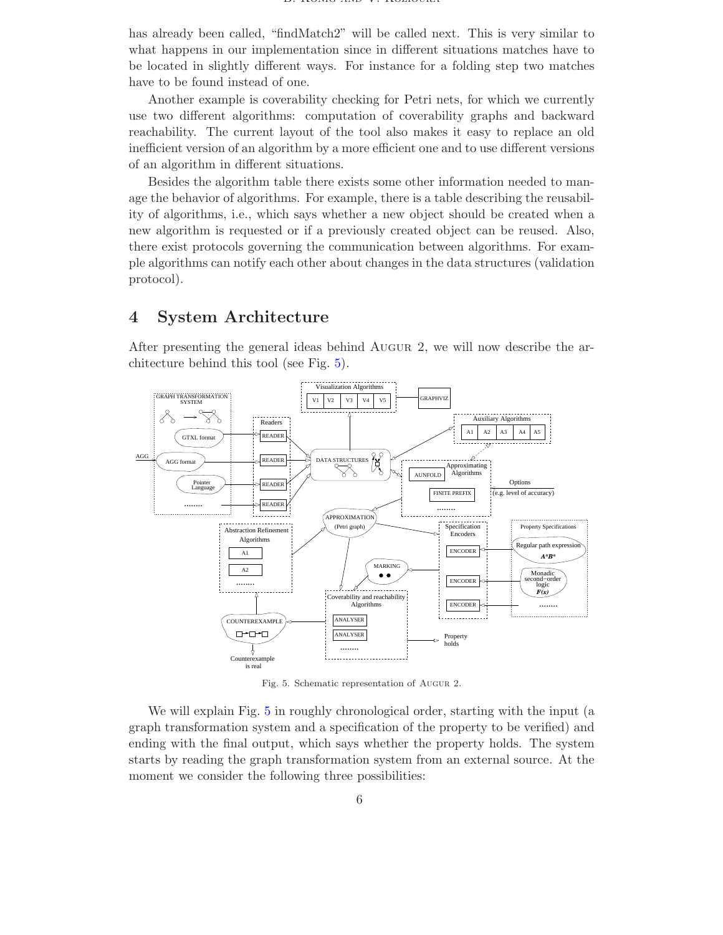has already been called, "findMatch2" will be called next. This is very similar to what happens in our implementation since in different situations matches have to be located in slightly different ways. For instance for a folding step two matches have to be found instead of one.

Another example is coverability checking for Petri nets, for which we currently use two different algorithms: computation of coverability graphs and backward reachability. The current layout of the tool also makes it easy to replace an old inefficient version of an algorithm by a more efficient one and to use different versions of an algorithm in different situations.

Besides the algorithm table there exists some other information needed to manage the behavior of algorithms. For example, there is a table describing the reusability of algorithms, i.e., which says whether a new object should be created when a new algorithm is requested or if a previously created object can be reused. Also, there exist protocols governing the communication between algorithms. For example algorithms can notify each other about changes in the data structures (validation protocol).

#### 4 System Architecture

After presenting the general ideas behind Augur 2, we will now describe the architecture behind this tool (see Fig. [5\)](#page-5-0).



<span id="page-5-0"></span>Fig. 5. Schematic representation of Augur 2.

We will explain Fig. [5](#page-5-0) in roughly chronological order, starting with the input (a graph transformation system and a specification of the property to be verified) and ending with the final output, which says whether the property holds. The system starts by reading the graph transformation system from an external source. At the moment we consider the following three possibilities: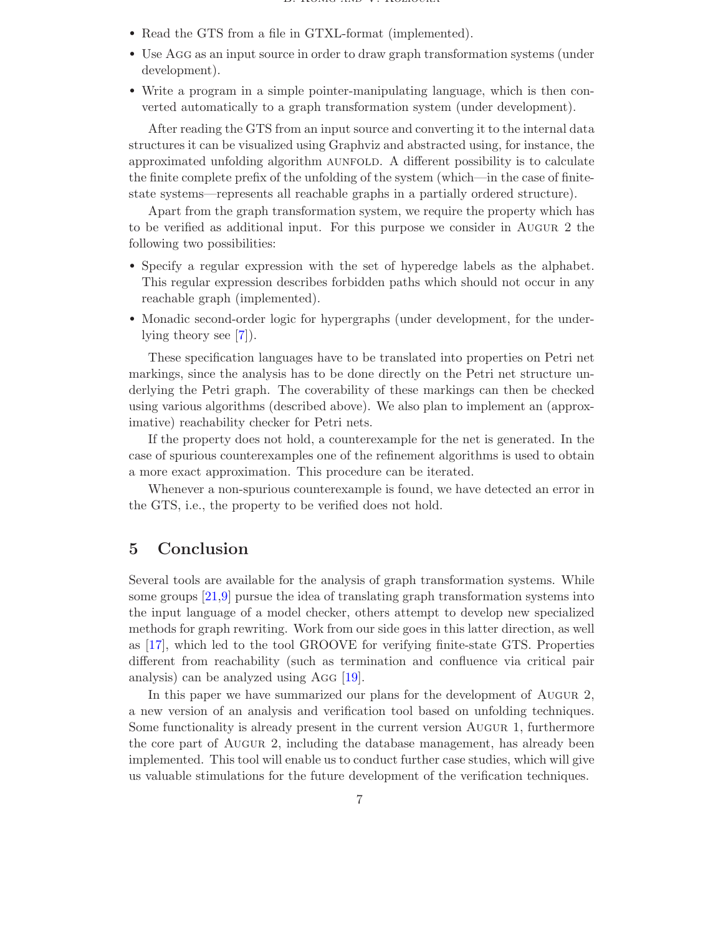- Read the GTS from a file in GTXL-format (implemented).
- Use Agg as an input source in order to draw graph transformation systems (under development).
- Write a program in a simple pointer-manipulating language, which is then converted automatically to a graph transformation system (under development).

After reading the GTS from an input source and converting it to the internal data structures it can be visualized using Graphviz and abstracted using, for instance, the approximated unfolding algorithm AUNFOLD. A different possibility is to calculate the finite complete prefix of the unfolding of the system (which—in the case of finitestate systems—represents all reachable graphs in a partially ordered structure).

Apart from the graph transformation system, we require the property which has to be verified as additional input. For this purpose we consider in Augur 2 the following two possibilities:

- Specify a regular expression with the set of hyperedge labels as the alphabet. This regular expression describes forbidden paths which should not occur in any reachable graph (implemented).
- Monadic second-order logic for hypergraphs (under development, for the underlying theory see [\[7\]](#page-8-14)).

These specification languages have to be translated into properties on Petri net markings, since the analysis has to be done directly on the Petri net structure underlying the Petri graph. The coverability of these markings can then be checked using various algorithms (described above). We also plan to implement an (approximative) reachability checker for Petri nets.

If the property does not hold, a counterexample for the net is generated. In the case of spurious counterexamples one of the refinement algorithms is used to obtain a more exact approximation. This procedure can be iterated.

Whenever a non-spurious counterexample is found, we have detected an error in the GTS, i.e., the property to be verified does not hold.

#### 5 Conclusion

Several tools are available for the analysis of graph transformation systems. While some groups [\[21,](#page-8-15)[9\]](#page-8-16) pursue the idea of translating graph transformation systems into the input language of a model checker, others attempt to develop new specialized methods for graph rewriting. Work from our side goes in this latter direction, as well as [\[17\]](#page-8-17), which led to the tool GROOVE for verifying finite-state GTS. Properties different from reachability (such as termination and confluence via critical pair analysis) can be analyzed using Agg [\[19\]](#page-8-9).

In this paper we have summarized our plans for the development of Augur 2, a new version of an analysis and verification tool based on unfolding techniques. Some functionality is already present in the current version Augur 1, furthermore the core part of Augur 2, including the database management, has already been implemented. This tool will enable us to conduct further case studies, which will give us valuable stimulations for the future development of the verification techniques.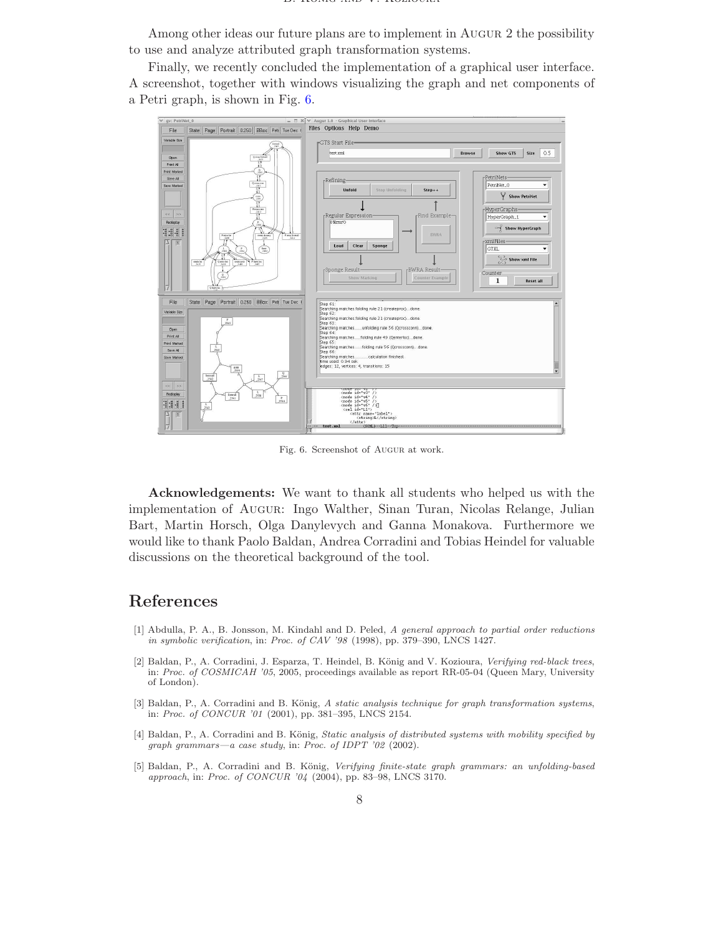Among other ideas our future plans are to implement in Augur 2 the possibility to use and analyze attributed graph transformation systems.

Finally, we recently concluded the implementation of a graphical user interface. A screenshot, together with windows visualizing the graph and net components of a Petri graph, is shown in Fig. [6.](#page-7-5)



<span id="page-7-5"></span>Fig. 6. Screenshot of Augur at work.

Acknowledgements: We want to thank all students who helped us with the implementation of Augur: Ingo Walther, Sinan Turan, Nicolas Relange, Julian Bart, Martin Horsch, Olga Danylevych and Ganna Monakova. Furthermore we would like to thank Paolo Baldan, Andrea Corradini and Tobias Heindel for valuable discussions on the theoretical background of the tool.

### <span id="page-7-2"></span>References

- [1] Abdulla, P. A., B. Jonsson, M. Kindahl and D. Peled, A general approach to partial order reductions in symbolic verification, in: Proc. of CAV '98 (1998), pp. 379–390, LNCS 1427.
- <span id="page-7-1"></span>[2] Baldan, P., A. Corradini, J. Esparza, T. Heindel, B. König and V. Kozioura, Verifying red-black trees, in: Proc. of COSMICAH '05, 2005, proceedings available as report RR-05-04 (Queen Mary, University of London).
- <span id="page-7-4"></span>[3] Baldan, P., A. Corradini and B. König, A static analysis technique for graph transformation systems, in: Proc. of CONCUR '01 (2001), pp. 381–395, LNCS 2154.
- <span id="page-7-0"></span>[4] Baldan, P., A. Corradini and B. König, Static analysis of distributed systems with mobility specified by graph grammars—a case study, in: Proc. of IDPT '02 (2002).
- <span id="page-7-3"></span>[5] Baldan, P., A. Corradini and B. König, Verifying finite-state graph grammars: an unfolding-based approach, in: Proc. of CONCUR '04 (2004), pp. 83–98, LNCS 3170.